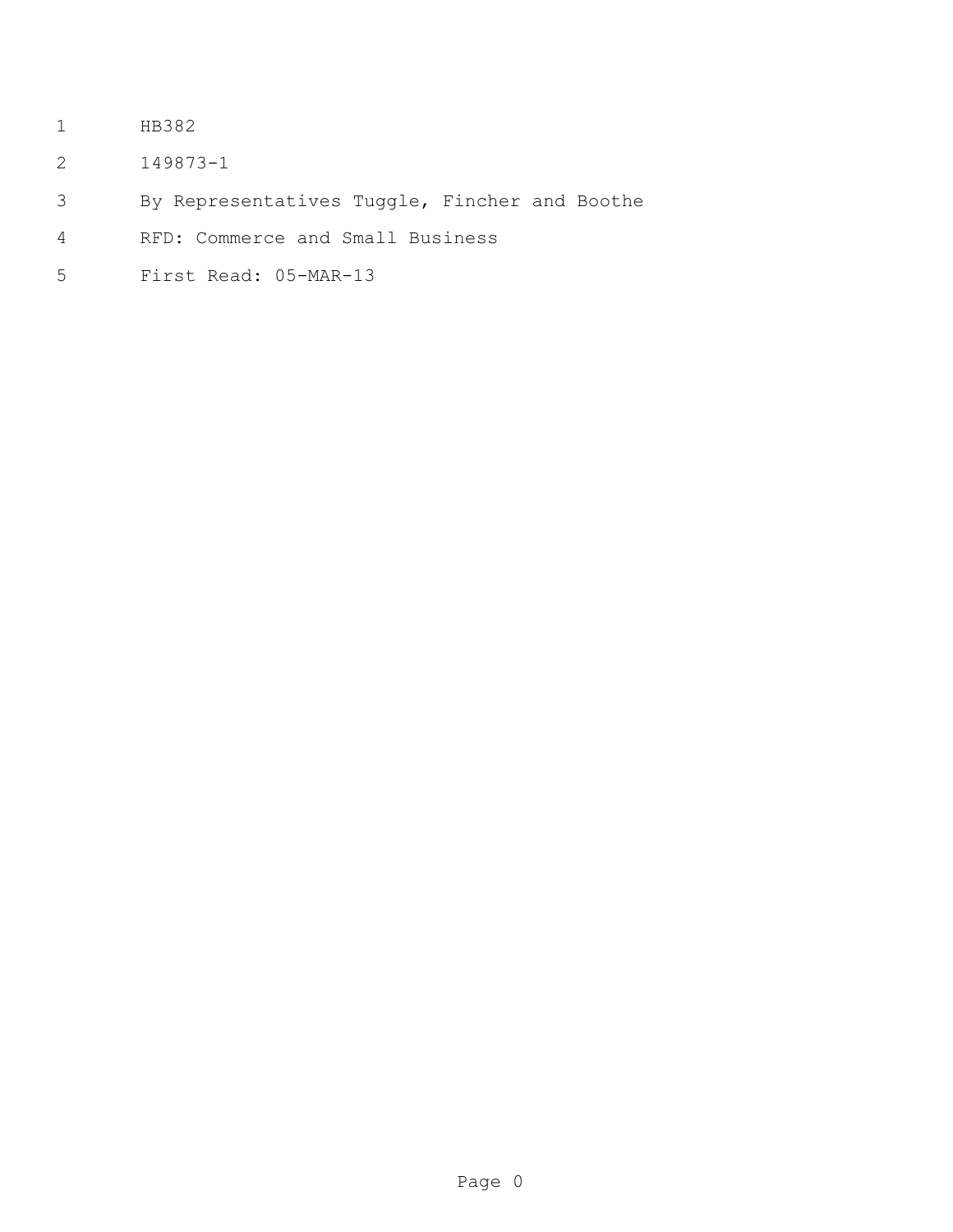- HB382
- 149873-1
- By Representatives Tuggle, Fincher and Boothe
- RFD: Commerce and Small Business
- First Read: 05-MAR-13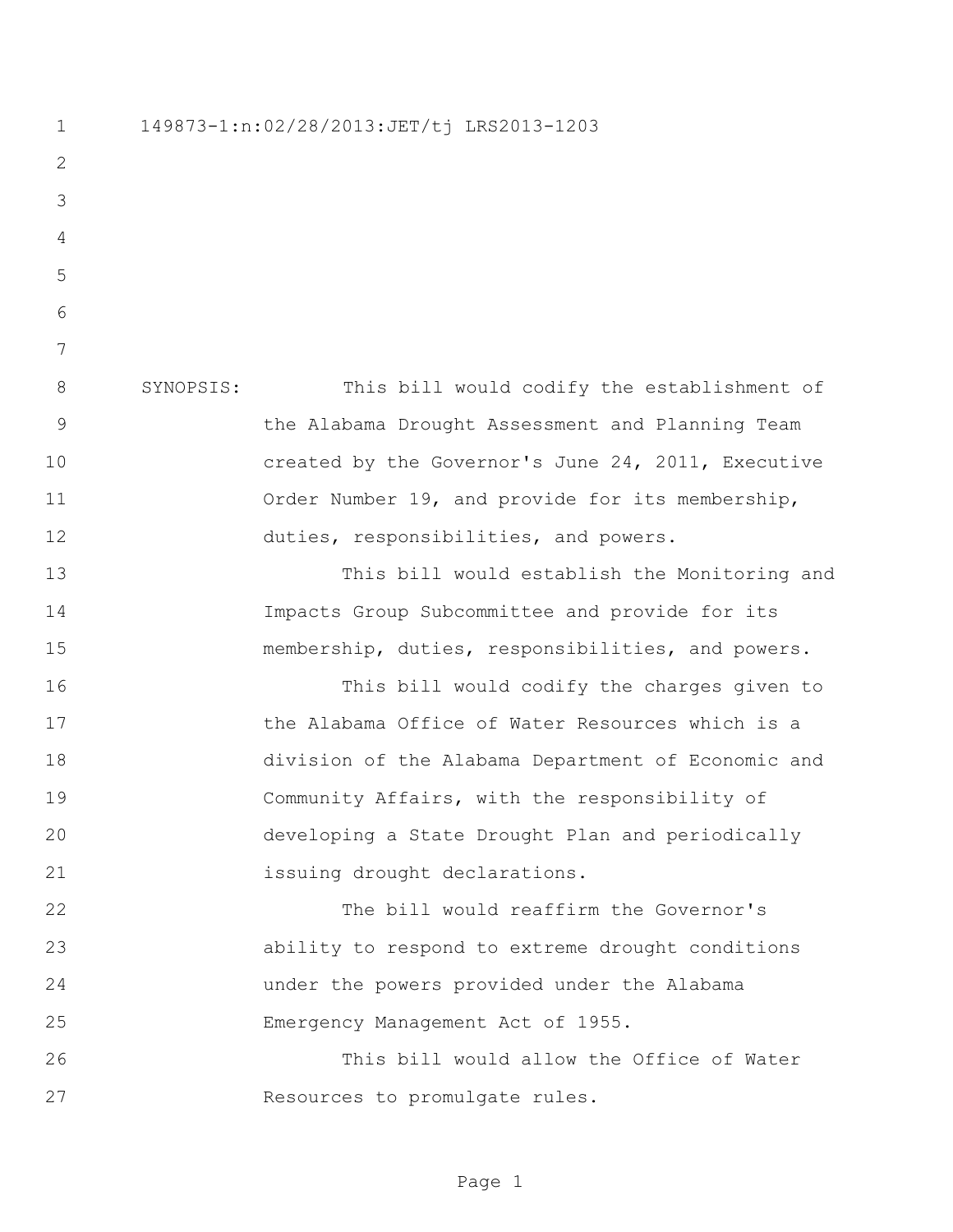149873-1:n:02/28/2013:JET/tj LRS2013-1203 SYNOPSIS: This bill would codify the establishment of the Alabama Drought Assessment and Planning Team created by the Governor's June 24, 2011, Executive 11 Order Number 19, and provide for its membership, duties, responsibilities, and powers. This bill would establish the Monitoring and Impacts Group Subcommittee and provide for its membership, duties, responsibilities, and powers. This bill would codify the charges given to **the Alabama Office of Water Resources which is a**  division of the Alabama Department of Economic and Community Affairs, with the responsibility of developing a State Drought Plan and periodically issuing drought declarations. The bill would reaffirm the Governor's ability to respond to extreme drought conditions under the powers provided under the Alabama Emergency Management Act of 1955. This bill would allow the Office of Water Resources to promulgate rules.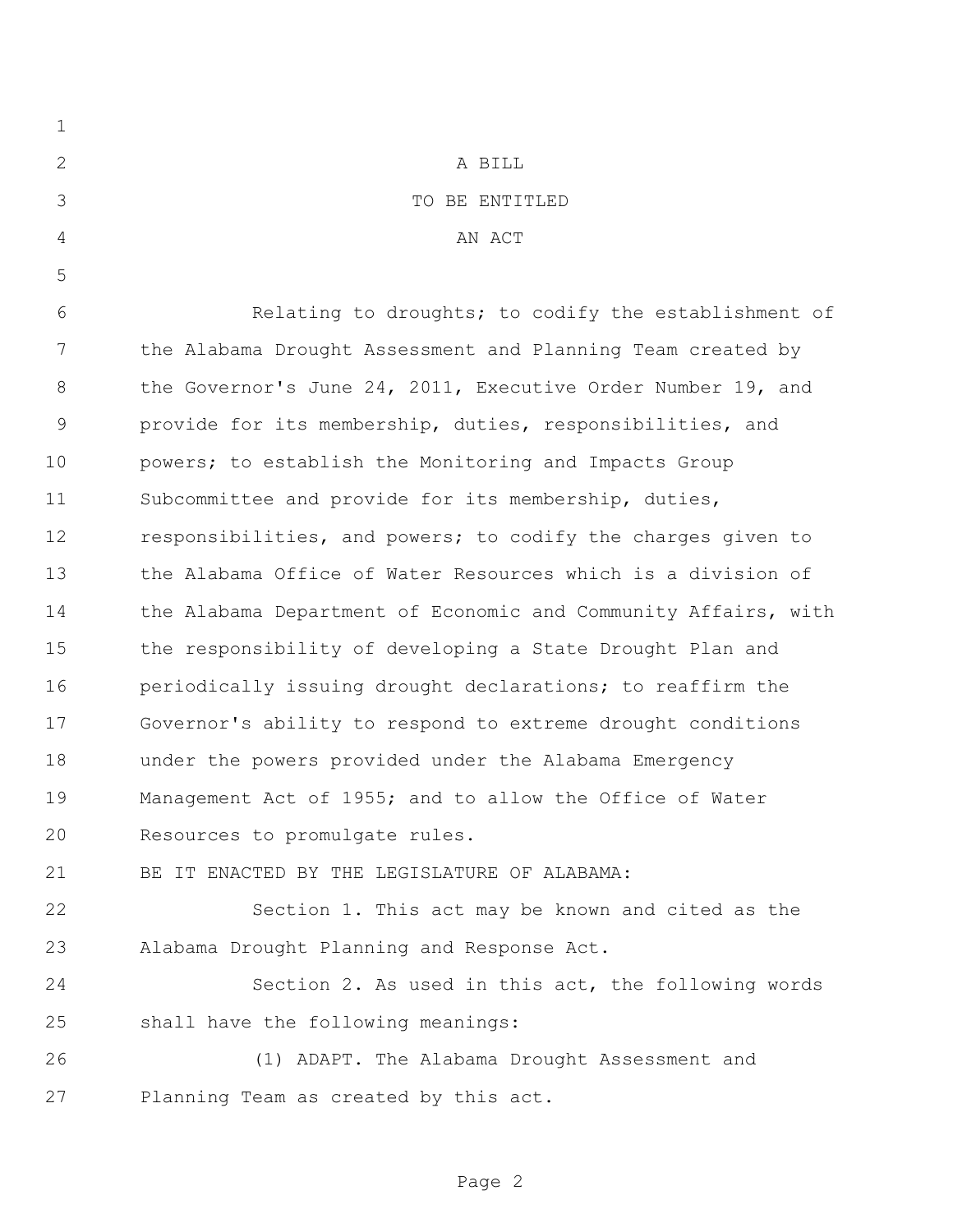| $\mathbf 1$    |                                                                |
|----------------|----------------------------------------------------------------|
| $\mathbf{2}$   | A BILL                                                         |
| 3              | TO BE ENTITLED                                                 |
| $\overline{4}$ | AN ACT                                                         |
| 5              |                                                                |
| 6              | Relating to droughts; to codify the establishment of           |
| 7              | the Alabama Drought Assessment and Planning Team created by    |
| 8              | the Governor's June 24, 2011, Executive Order Number 19, and   |
| $\mathsf 9$    | provide for its membership, duties, responsibilities, and      |
| 10             | powers; to establish the Monitoring and Impacts Group          |
| 11             | Subcommittee and provide for its membership, duties,           |
| 12             | responsibilities, and powers; to codify the charges given to   |
| 13             | the Alabama Office of Water Resources which is a division of   |
| 14             | the Alabama Department of Economic and Community Affairs, with |
| 15             | the responsibility of developing a State Drought Plan and      |
| 16             | periodically issuing drought declarations; to reaffirm the     |
| 17             | Governor's ability to respond to extreme drought conditions    |
| 18             | under the powers provided under the Alabama Emergency          |
| 19             | Management Act of 1955; and to allow the Office of Water       |
| 20             | Resources to promulgate rules.                                 |
| 21             | BE IT ENACTED BY THE LEGISLATURE OF ALABAMA:                   |
| 22             | Section 1. This act may be known and cited as the              |
| 23             | Alabama Drought Planning and Response Act.                     |
| 24             | Section 2. As used in this act, the following words            |
| 25             | shall have the following meanings:                             |
| 26             | (1) ADAPT. The Alabama Drought Assessment and                  |
| 27             | Planning Team as created by this act.                          |
|                |                                                                |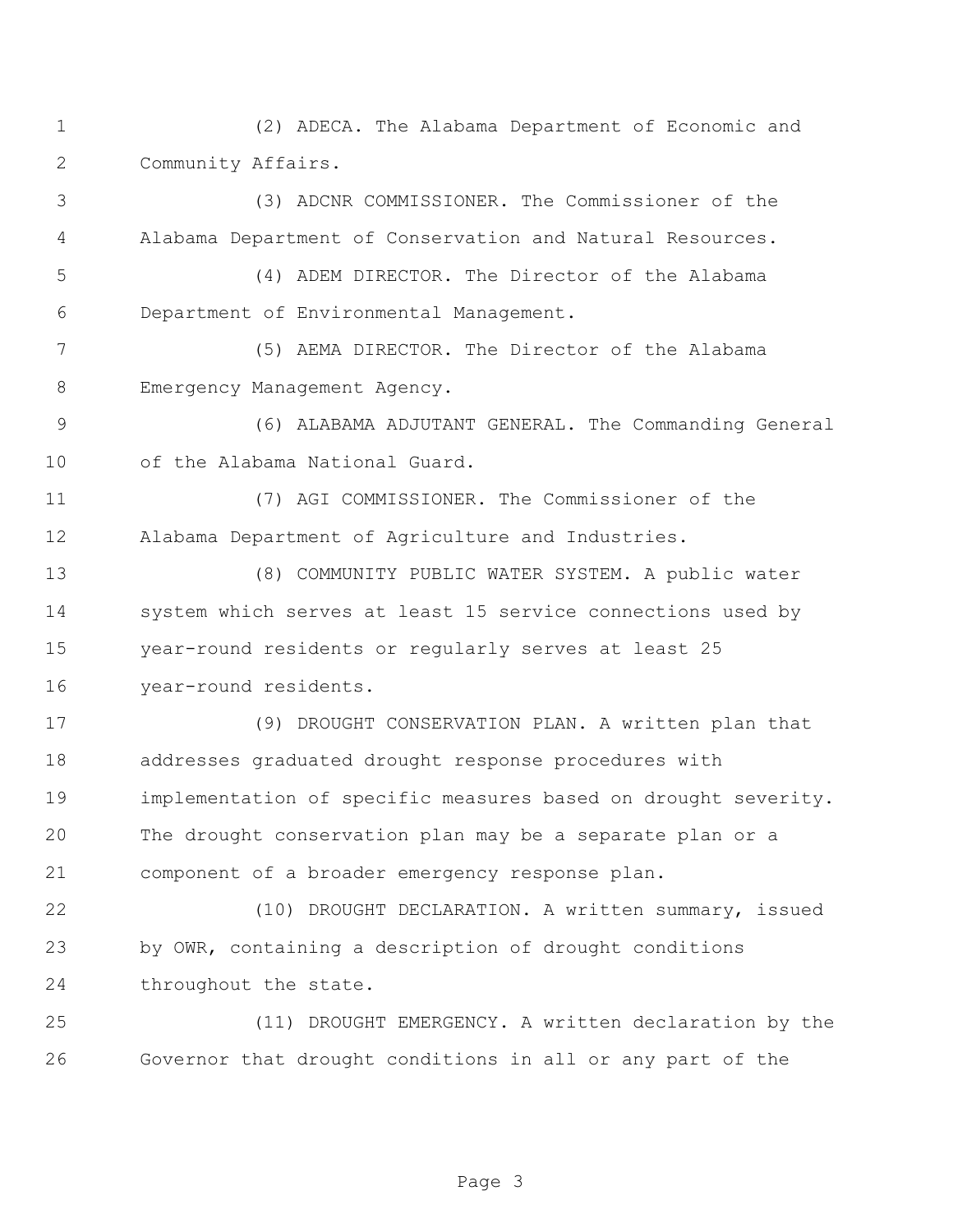(2) ADECA. The Alabama Department of Economic and Community Affairs.

 (3) ADCNR COMMISSIONER. The Commissioner of the Alabama Department of Conservation and Natural Resources.

 (4) ADEM DIRECTOR. The Director of the Alabama Department of Environmental Management.

 (5) AEMA DIRECTOR. The Director of the Alabama 8 Emergency Management Agency.

 (6) ALABAMA ADJUTANT GENERAL. The Commanding General of the Alabama National Guard.

 (7) AGI COMMISSIONER. The Commissioner of the Alabama Department of Agriculture and Industries.

 (8) COMMUNITY PUBLIC WATER SYSTEM. A public water system which serves at least 15 service connections used by year-round residents or regularly serves at least 25 year-round residents.

 (9) DROUGHT CONSERVATION PLAN. A written plan that addresses graduated drought response procedures with implementation of specific measures based on drought severity. The drought conservation plan may be a separate plan or a component of a broader emergency response plan.

 (10) DROUGHT DECLARATION. A written summary, issued by OWR, containing a description of drought conditions 24 throughout the state.

 (11) DROUGHT EMERGENCY. A written declaration by the Governor that drought conditions in all or any part of the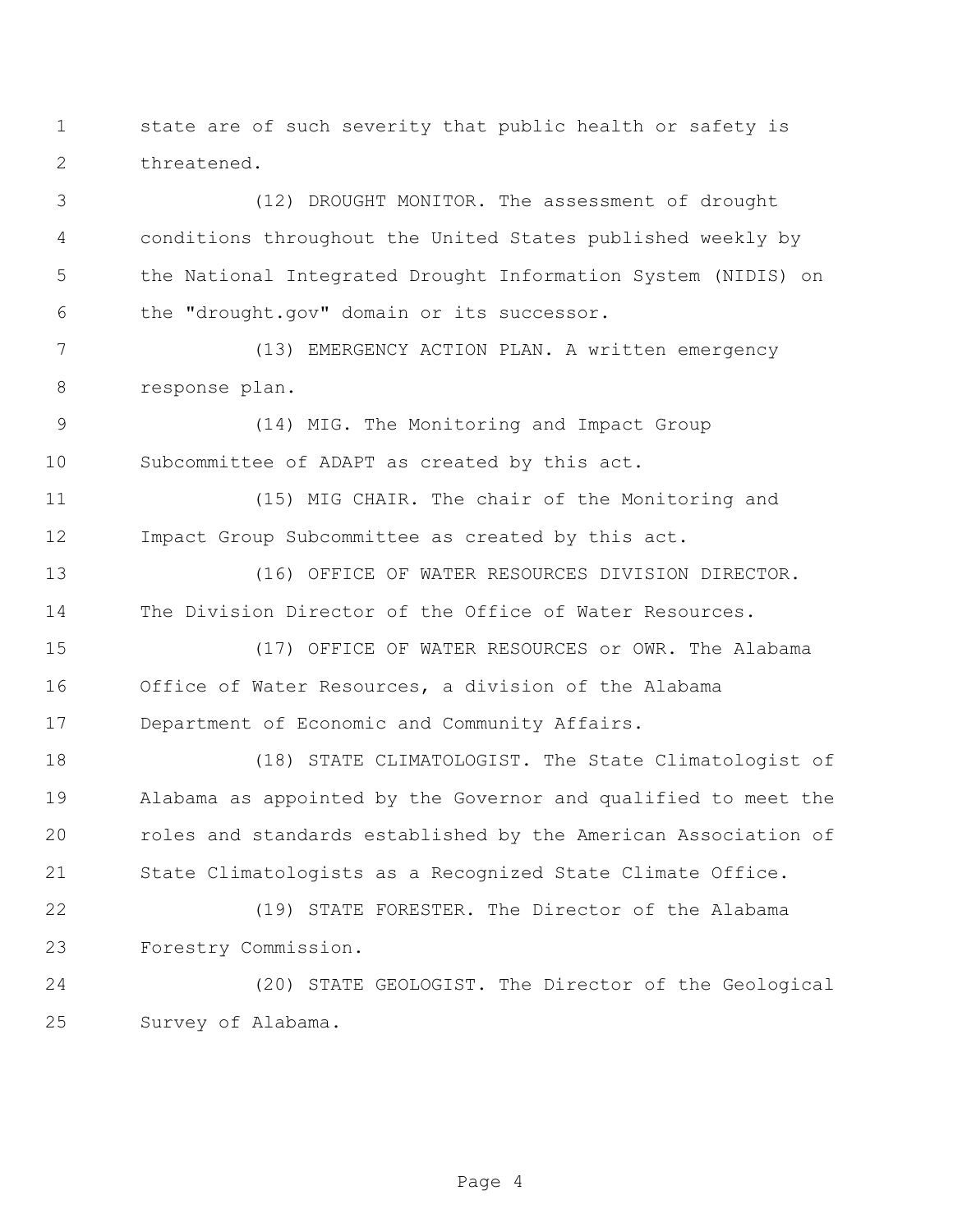state are of such severity that public health or safety is threatened.

 (12) DROUGHT MONITOR. The assessment of drought conditions throughout the United States published weekly by the National Integrated Drought Information System (NIDIS) on the "drought.gov" domain or its successor.

 (13) EMERGENCY ACTION PLAN. A written emergency response plan.

 (14) MIG. The Monitoring and Impact Group Subcommittee of ADAPT as created by this act.

 (15) MIG CHAIR. The chair of the Monitoring and Impact Group Subcommittee as created by this act.

 (16) OFFICE OF WATER RESOURCES DIVISION DIRECTOR. The Division Director of the Office of Water Resources.

 (17) OFFICE OF WATER RESOURCES or OWR. The Alabama Office of Water Resources, a division of the Alabama Department of Economic and Community Affairs.

 (18) STATE CLIMATOLOGIST. The State Climatologist of Alabama as appointed by the Governor and qualified to meet the roles and standards established by the American Association of State Climatologists as a Recognized State Climate Office.

 (19) STATE FORESTER. The Director of the Alabama Forestry Commission.

 (20) STATE GEOLOGIST. The Director of the Geological Survey of Alabama.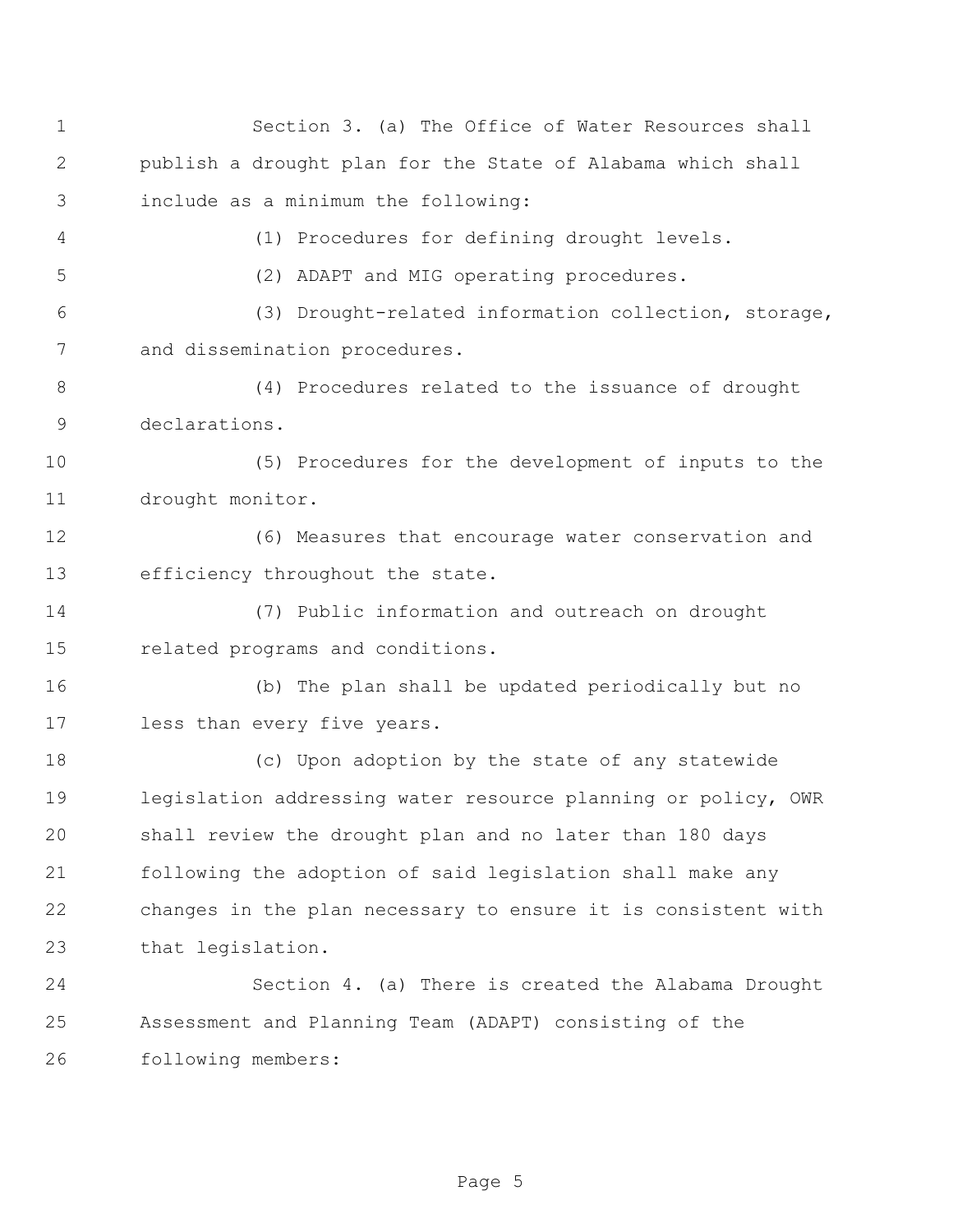| $\mathbf 1$ | Section 3. (a) The Office of Water Resources shall            |
|-------------|---------------------------------------------------------------|
| 2           | publish a drought plan for the State of Alabama which shall   |
| 3           | include as a minimum the following:                           |
| 4           | (1) Procedures for defining drought levels.                   |
| 5           | (2) ADAPT and MIG operating procedures.                       |
| 6           | (3) Drought-related information collection, storage,          |
| 7           | and dissemination procedures.                                 |
| 8           | (4) Procedures related to the issuance of drought             |
| 9           | declarations.                                                 |
| 10          | (5) Procedures for the development of inputs to the           |
| 11          | drought monitor.                                              |
| 12          | (6) Measures that encourage water conservation and            |
| 13          | efficiency throughout the state.                              |
| 14          | (7) Public information and outreach on drought                |
| 15          | related programs and conditions.                              |
| 16          | (b) The plan shall be updated periodically but no             |
| 17          | less than every five years.                                   |
| 18          | (c) Upon adoption by the state of any statewide               |
| 19          | legislation addressing water resource planning or policy, OWR |
| 20          | shall review the drought plan and no later than 180 days      |
| 21          | following the adoption of said legislation shall make any     |
| 22          | changes in the plan necessary to ensure it is consistent with |
| 23          | that legislation.                                             |
| 24          | Section 4. (a) There is created the Alabama Drought           |
| 25          | Assessment and Planning Team (ADAPT) consisting of the        |
| 26          | following members:                                            |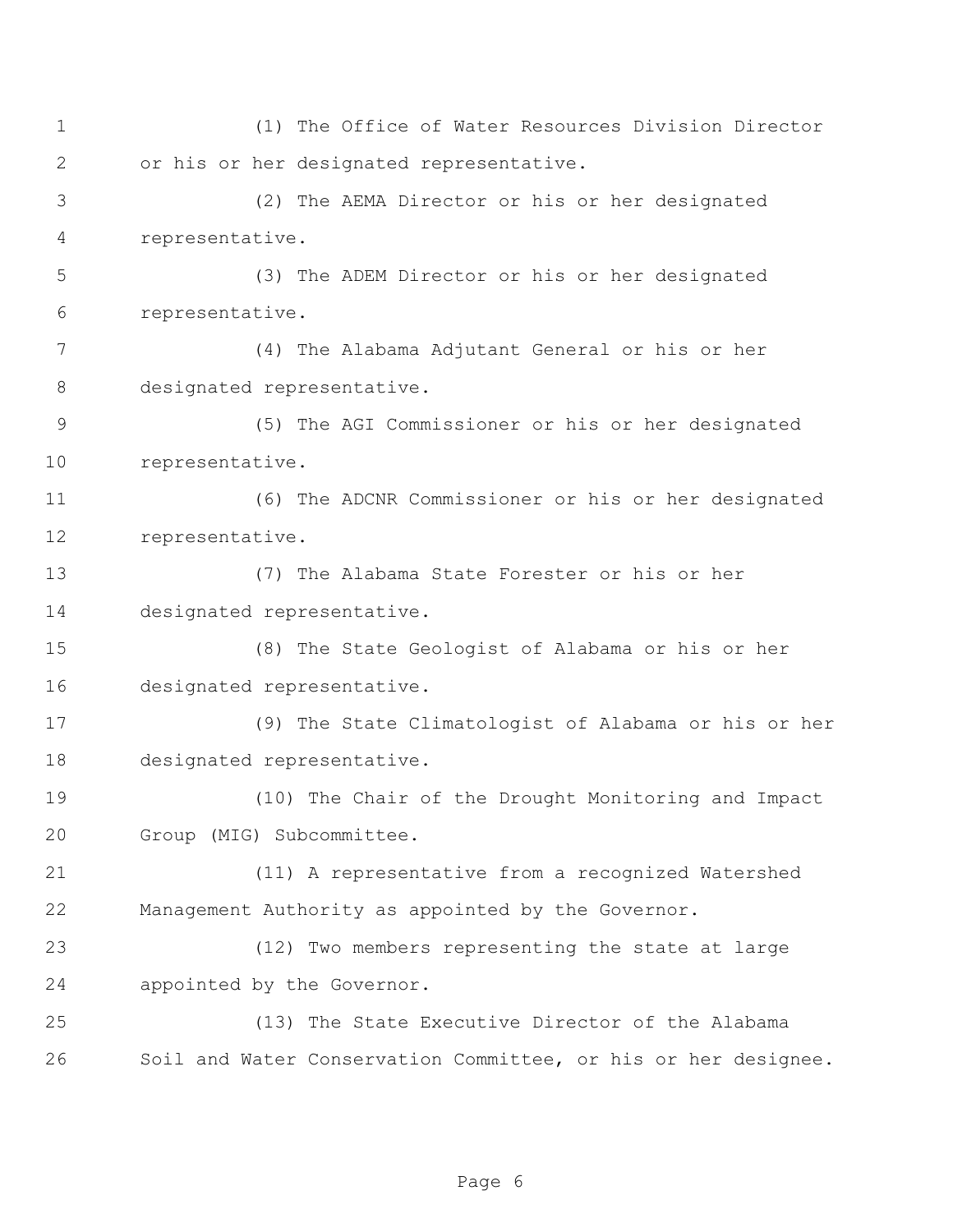(1) The Office of Water Resources Division Director or his or her designated representative. (2) The AEMA Director or his or her designated representative. (3) The ADEM Director or his or her designated representative. (4) The Alabama Adjutant General or his or her designated representative. (5) The AGI Commissioner or his or her designated representative. (6) The ADCNR Commissioner or his or her designated representative. (7) The Alabama State Forester or his or her designated representative. (8) The State Geologist of Alabama or his or her designated representative. (9) The State Climatologist of Alabama or his or her designated representative. (10) The Chair of the Drought Monitoring and Impact Group (MIG) Subcommittee. (11) A representative from a recognized Watershed Management Authority as appointed by the Governor. (12) Two members representing the state at large appointed by the Governor. (13) The State Executive Director of the Alabama Soil and Water Conservation Committee, or his or her designee.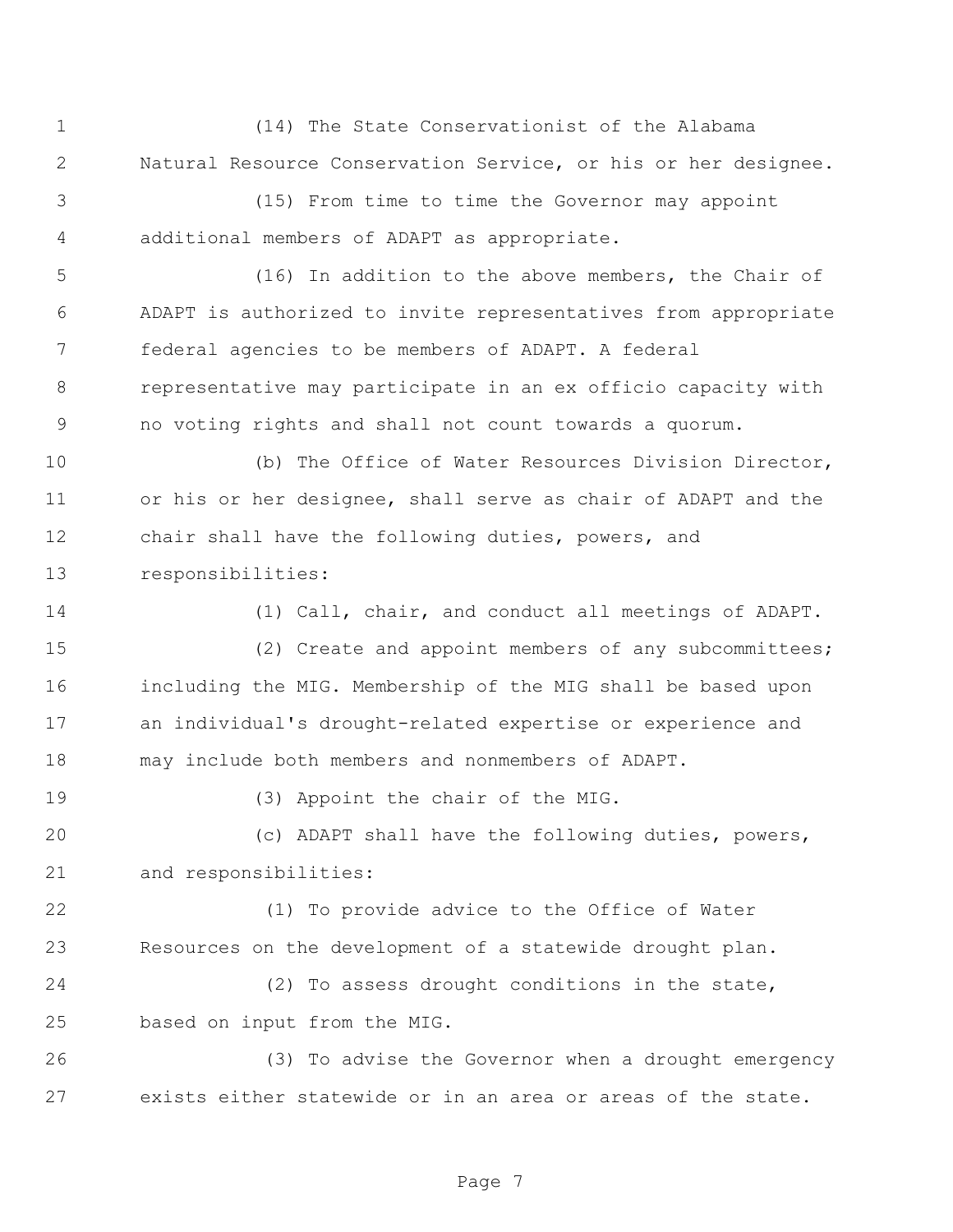(14) The State Conservationist of the Alabama Natural Resource Conservation Service, or his or her designee.

 (15) From time to time the Governor may appoint additional members of ADAPT as appropriate.

 (16) In addition to the above members, the Chair of ADAPT is authorized to invite representatives from appropriate federal agencies to be members of ADAPT. A federal representative may participate in an ex officio capacity with no voting rights and shall not count towards a quorum.

 (b) The Office of Water Resources Division Director, or his or her designee, shall serve as chair of ADAPT and the chair shall have the following duties, powers, and responsibilities:

 (1) Call, chair, and conduct all meetings of ADAPT. (2) Create and appoint members of any subcommittees; including the MIG. Membership of the MIG shall be based upon an individual's drought-related expertise or experience and may include both members and nonmembers of ADAPT.

(3) Appoint the chair of the MIG.

 (c) ADAPT shall have the following duties, powers, and responsibilities:

22 (1) To provide advice to the Office of Water Resources on the development of a statewide drought plan.

24 (2) To assess drought conditions in the state, based on input from the MIG.

26 (3) To advise the Governor when a drought emergency exists either statewide or in an area or areas of the state.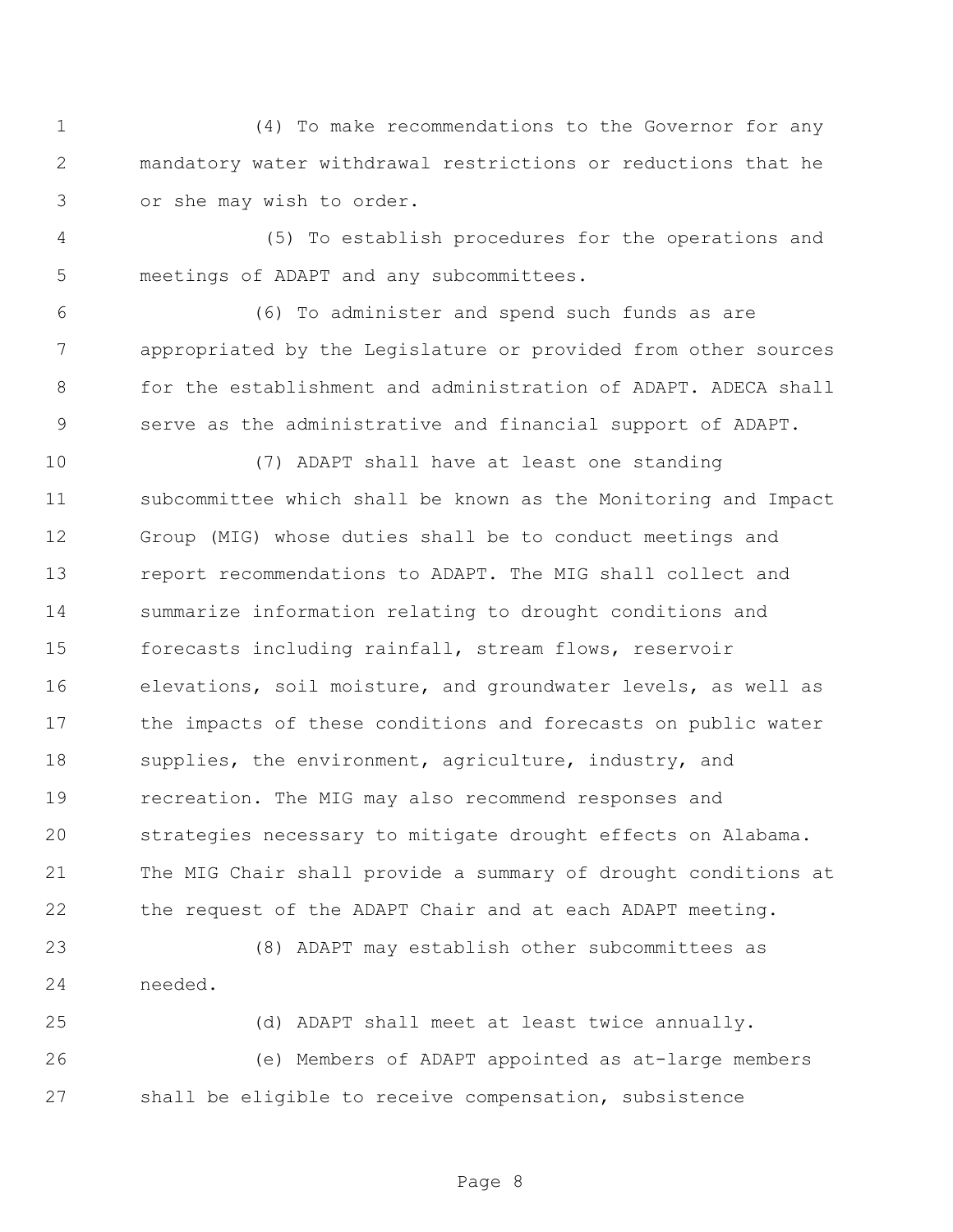(4) To make recommendations to the Governor for any mandatory water withdrawal restrictions or reductions that he or she may wish to order.

4 (5) To establish procedures for the operations and meetings of ADAPT and any subcommittees.

 (6) To administer and spend such funds as are appropriated by the Legislature or provided from other sources for the establishment and administration of ADAPT. ADECA shall serve as the administrative and financial support of ADAPT.

 (7) ADAPT shall have at least one standing subcommittee which shall be known as the Monitoring and Impact Group (MIG) whose duties shall be to conduct meetings and report recommendations to ADAPT. The MIG shall collect and summarize information relating to drought conditions and forecasts including rainfall, stream flows, reservoir elevations, soil moisture, and groundwater levels, as well as the impacts of these conditions and forecasts on public water 18 supplies, the environment, agriculture, industry, and recreation. The MIG may also recommend responses and strategies necessary to mitigate drought effects on Alabama. The MIG Chair shall provide a summary of drought conditions at the request of the ADAPT Chair and at each ADAPT meeting.

 (8) ADAPT may establish other subcommittees as needed.

 (d) ADAPT shall meet at least twice annually. (e) Members of ADAPT appointed as at-large members shall be eligible to receive compensation, subsistence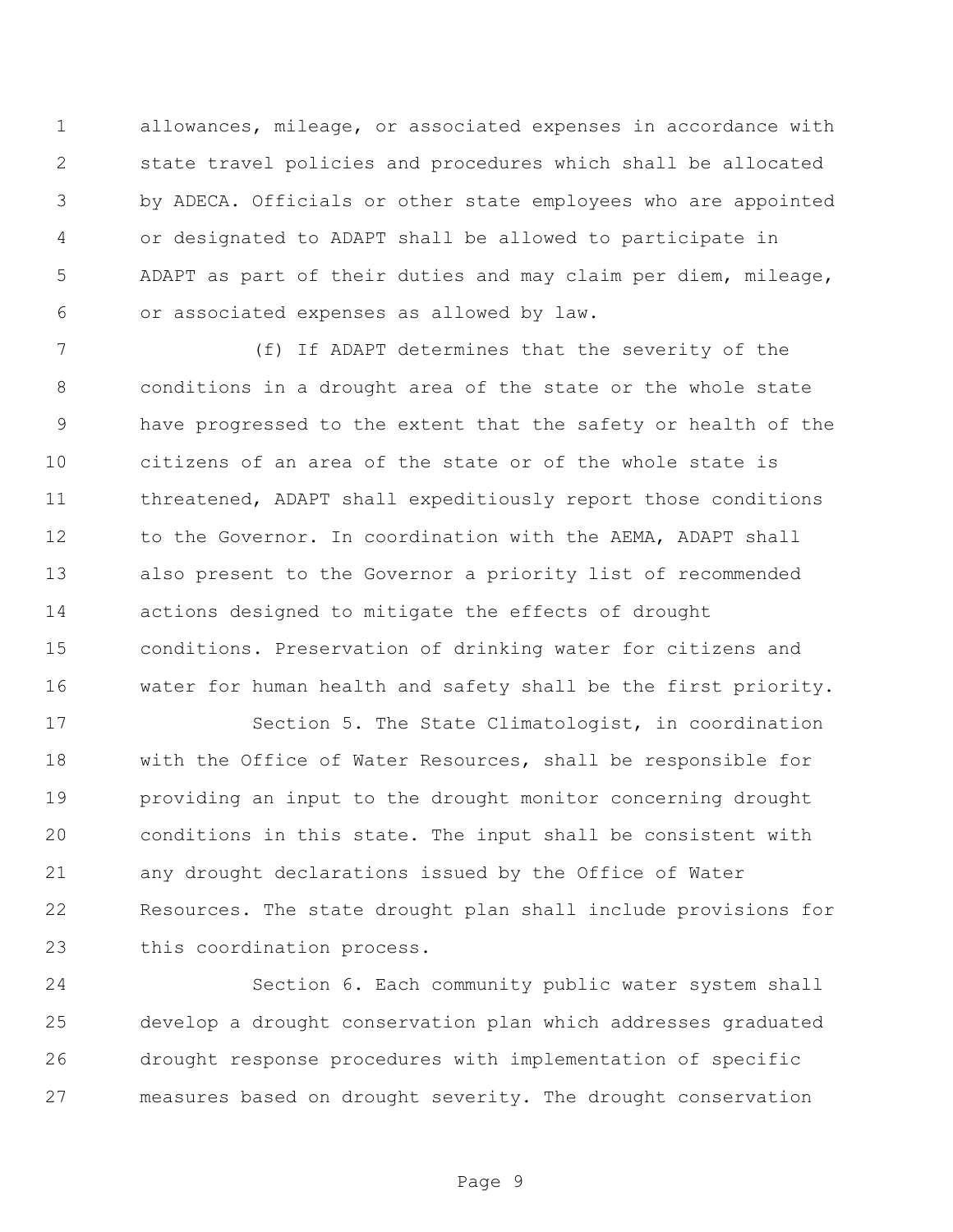allowances, mileage, or associated expenses in accordance with state travel policies and procedures which shall be allocated by ADECA. Officials or other state employees who are appointed or designated to ADAPT shall be allowed to participate in ADAPT as part of their duties and may claim per diem, mileage, or associated expenses as allowed by law.

 (f) If ADAPT determines that the severity of the conditions in a drought area of the state or the whole state have progressed to the extent that the safety or health of the citizens of an area of the state or of the whole state is threatened, ADAPT shall expeditiously report those conditions 12 to the Governor. In coordination with the AEMA, ADAPT shall also present to the Governor a priority list of recommended actions designed to mitigate the effects of drought conditions. Preservation of drinking water for citizens and water for human health and safety shall be the first priority.

17 Section 5. The State Climatologist, in coordination with the Office of Water Resources, shall be responsible for providing an input to the drought monitor concerning drought conditions in this state. The input shall be consistent with any drought declarations issued by the Office of Water Resources. The state drought plan shall include provisions for this coordination process.

 Section 6. Each community public water system shall develop a drought conservation plan which addresses graduated drought response procedures with implementation of specific measures based on drought severity. The drought conservation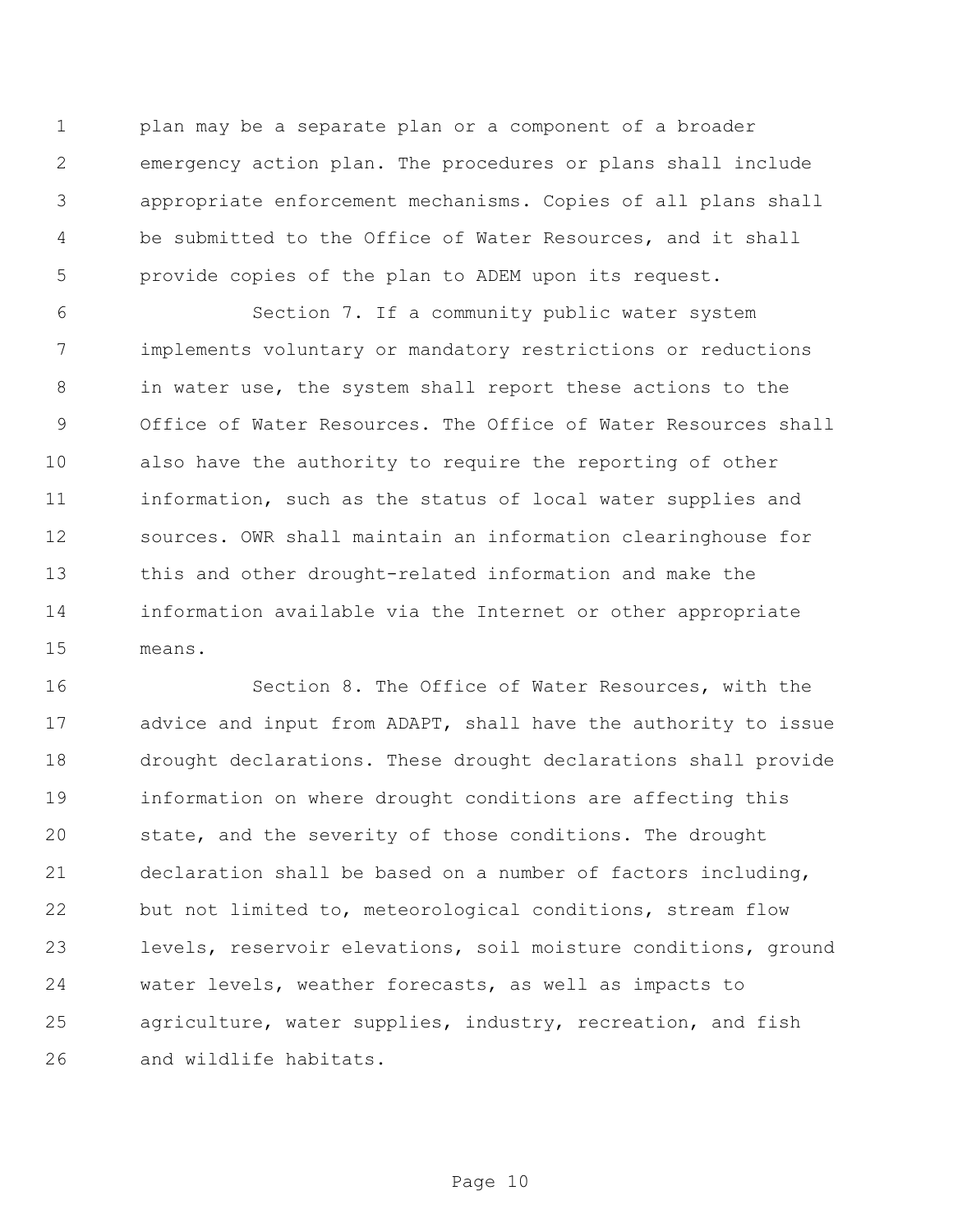plan may be a separate plan or a component of a broader emergency action plan. The procedures or plans shall include appropriate enforcement mechanisms. Copies of all plans shall be submitted to the Office of Water Resources, and it shall provide copies of the plan to ADEM upon its request.

 Section 7. If a community public water system implements voluntary or mandatory restrictions or reductions in water use, the system shall report these actions to the Office of Water Resources. The Office of Water Resources shall also have the authority to require the reporting of other information, such as the status of local water supplies and sources. OWR shall maintain an information clearinghouse for this and other drought-related information and make the information available via the Internet or other appropriate means.

 Section 8. The Office of Water Resources, with the advice and input from ADAPT, shall have the authority to issue drought declarations. These drought declarations shall provide information on where drought conditions are affecting this state, and the severity of those conditions. The drought declaration shall be based on a number of factors including, but not limited to, meteorological conditions, stream flow levels, reservoir elevations, soil moisture conditions, ground water levels, weather forecasts, as well as impacts to agriculture, water supplies, industry, recreation, and fish and wildlife habitats.